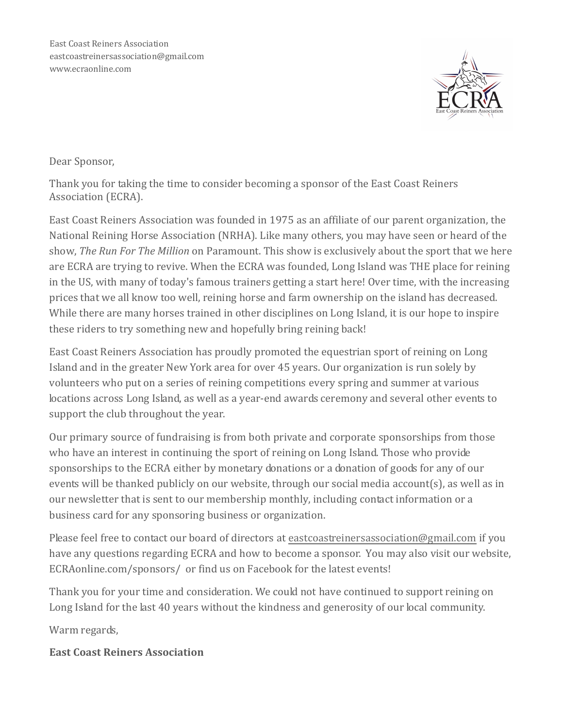

## Dear Sponsor,

Thank you for taking the time to consider becoming a sponsor of the East Coast Reiners Association (ECRA).

East Coast Reiners Association was founded in 1975 as an affiliate of our parent organization, the National Reining Horse Association (NRHA). Like many others, you may have seen or heard of the show, *The Run For The Million* on Paramount. This show is exclusively about the sport that we here are ECRA are trying to revive. When the ECRA was founded, Long Island was THE place for reining in the US, with many of today's famous trainers getting a start here! Over time, with the increasing prices that we all know too well, reining horse and farm ownership on the island has decreased. While there are many horses trained in other disciplines on Long Island, it is our hope to inspire these riders to try something new and hopefully bring reining back!

East Coast Reiners Association has proudly promoted the equestrian sport of reining on Long Island and in the greater New York area for over 45 years. Our organization is run solely by volunteers who put on a series of reining competitions every spring and summer at various locations across Long Island, as well as a year-end awards ceremony and several other events to support the club throughout the year.

Our primary source of fundraising is from both private and corporate sponsorships from those who have an interest in continuing the sport of reining on Long Island. Those who provide sponsorships to the ECRA either by monetary donations or a donation of goods for any of our events will be thanked publicly on our website, through our social media account(s), as well as in our newsletter that is sent to our membership monthly, including contact information or a business card for any sponsoring business or organization.

Please feel free to contact our board of directors at eastcoastreinersassociation@gmail.com if you have any questions regarding ECRA and how to become a sponsor. You may also visit our website, ECRAonline.com/sponsors/ or find us on Facebook for the latest events!

Thank you for your time and consideration. We could not have continued to support reining on Long Island for the last 40 years without the kindness and generosity of our local community.

Warm regards,

East Coast Reiners Association